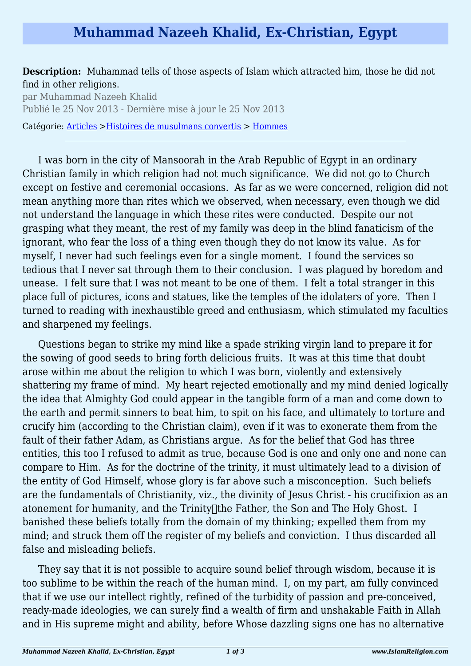# **Muhammad Nazeeh Khalid, Ex-Christian, Egypt**

### **Description:** Muhammad tells of those aspects of Islam which attracted him, those he did not find in other religions.

par Muhammad Nazeeh Khalid Publié le 25 Nov 2013 - Dernière mise à jour le 25 Nov 2013

Catégorie: [Articles](http://www.islamreligion.com/articles/) [>Histoires de musulmans convertis](http://www.islamreligion.com/fr/category/63/) > [Hommes](http://www.islamreligion.com/fr/category/64/)

I was born in the city of Mansoorah in the Arab Republic of Egypt in an ordinary Christian family in which religion had not much significance. We did not go to Church except on festive and ceremonial occasions. As far as we were concerned, religion did not mean anything more than rites which we observed, when necessary, even though we did not understand the language in which these rites were conducted. Despite our not grasping what they meant, the rest of my family was deep in the blind fanaticism of the ignorant, who fear the loss of a thing even though they do not know its value. As for myself, I never had such feelings even for a single moment. I found the services so tedious that I never sat through them to their conclusion. I was plagued by boredom and unease. I felt sure that I was not meant to be one of them. I felt a total stranger in this place full of pictures, icons and statues, like the temples of the idolaters of yore. Then I turned to reading with inexhaustible greed and enthusiasm, which stimulated my faculties and sharpened my feelings.

Questions began to strike my mind like a spade striking virgin land to prepare it for the sowing of good seeds to bring forth delicious fruits. It was at this time that doubt arose within me about the religion to which I was born, violently and extensively shattering my frame of mind. My heart rejected emotionally and my mind denied logically the idea that Almighty God could appear in the tangible form of a man and come down to the earth and permit sinners to beat him, to spit on his face, and ultimately to torture and crucify him (according to the Christian claim), even if it was to exonerate them from the fault of their father Adam, as Christians argue. As for the belief that God has three entities, this too I refused to admit as true, because God is one and only one and none can compare to Him. As for the doctrine of the trinity, it must ultimately lead to a division of the entity of God Himself, whose glory is far above such a misconception. Such beliefs are the fundamentals of Christianity, viz., the divinity of Jesus Christ - his crucifixion as an atonement for humanity, and the Trinity<sup>[1]</sup>the Father, the Son and The Holy Ghost. I banished these beliefs totally from the domain of my thinking; expelled them from my mind; and struck them off the register of my beliefs and conviction. I thus discarded all false and misleading beliefs.

They say that it is not possible to acquire sound belief through wisdom, because it is too sublime to be within the reach of the human mind. I, on my part, am fully convinced that if we use our intellect rightly, refined of the turbidity of passion and pre-conceived, ready-made ideologies, we can surely find a wealth of firm and unshakable Faith in Allah and in His supreme might and ability, before Whose dazzling signs one has no alternative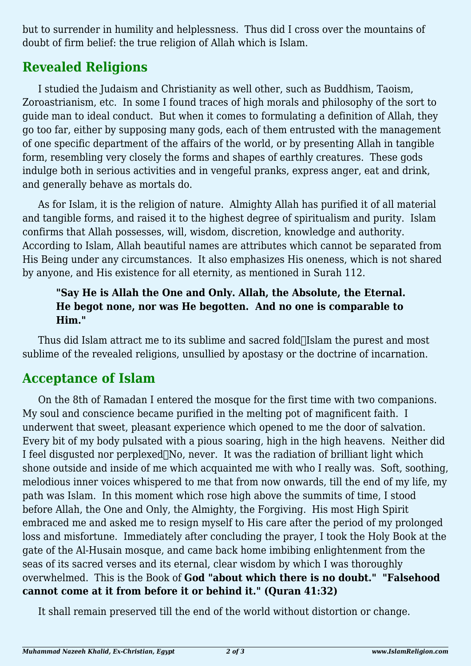but to surrender in humility and helplessness. Thus did I cross over the mountains of doubt of firm belief: the true religion of Allah which is Islam.

# **Revealed Religions**

I studied the Judaism and Christianity as well other, such as Buddhism, Taoism, Zoroastrianism, etc. In some I found traces of high morals and philosophy of the sort to guide man to ideal conduct. But when it comes to formulating a definition of Allah, they go too far, either by supposing many gods, each of them entrusted with the management of one specific department of the affairs of the world, or by presenting Allah in tangible form, resembling very closely the forms and shapes of earthly creatures. These gods indulge both in serious activities and in vengeful pranks, express anger, eat and drink, and generally behave as mortals do.

As for Islam, it is the religion of nature. Almighty Allah has purified it of all material and tangible forms, and raised it to the highest degree of spiritualism and purity. Islam confirms that Allah possesses, will, wisdom, discretion, knowledge and authority. According to Islam, Allah beautiful names are attributes which cannot be separated from His Being under any circumstances. It also emphasizes His oneness, which is not shared by anyone, and His existence for all eternity, as mentioned in Surah 112.

### **"Say He is Allah the One and Only. Allah, the Absolute, the Eternal. He begot none, nor was He begotten. And no one is comparable to Him."**

Thus did Islam attract me to its sublime and sacred fold $\Box$ Islam the purest and most sublime of the revealed religions, unsullied by apostasy or the doctrine of incarnation.

## **Acceptance of Islam**

On the 8th of Ramadan I entered the mosque for the first time with two companions. My soul and conscience became purified in the melting pot of magnificent faith. I underwent that sweet, pleasant experience which opened to me the door of salvation. Every bit of my body pulsated with a pious soaring, high in the high heavens. Neither did I feel disgusted nor perplexed $\Box$ No, never. It was the radiation of brilliant light which shone outside and inside of me which acquainted me with who I really was. Soft, soothing, melodious inner voices whispered to me that from now onwards, till the end of my life, my path was Islam. In this moment which rose high above the summits of time, I stood before Allah, the One and Only, the Almighty, the Forgiving. His most High Spirit embraced me and asked me to resign myself to His care after the period of my prolonged loss and misfortune. Immediately after concluding the prayer, I took the Holy Book at the gate of the Al-Husain mosque, and came back home imbibing enlightenment from the seas of its sacred verses and its eternal, clear wisdom by which I was thoroughly overwhelmed. This is the Book of **God "about which there is no doubt." "Falsehood cannot come at it from before it or behind it." (Quran 41:32)**

It shall remain preserved till the end of the world without distortion or change.